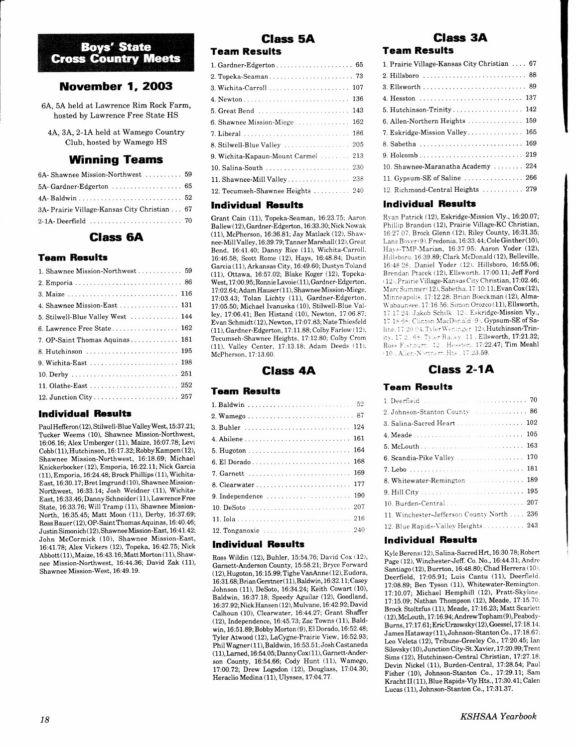# **Boys' State Cross Country Meets**

# **November 1, 2003**

6A, 5A held at Lawrence Rim Rock Farm, hosted by Lawrence Free State HS

4A, 3A, 2-1A held at Wamego Country Club, hosted by Wamego HS

# Winning Teams

| 6A-Shawnee Mission-Northwest  59             |  |
|----------------------------------------------|--|
|                                              |  |
|                                              |  |
| 3A- Prairie Village-Kansas City Christian 67 |  |
|                                              |  |

# Glass 6A

### Team Results

| 1. Shawnee Mission-Northwest 59   |
|-----------------------------------|
|                                   |
|                                   |
| 4. Shawnee Mission-East  131      |
| 5. Stilwell-Blue Valley West  144 |
| 6. Lawrence Free State 162        |
| 7. OP-Saint Thomas Aquinas 181    |
|                                   |
|                                   |
|                                   |
|                                   |
|                                   |

### lndividual Results

Paul Hefferon (12), Stilwell-Blue Valley West, 15:37.21; Tucker Weems (10), Shawnee Mission-Northwest, 16:06.16; Alex Umberger (11), Maize, 16:07.78; Levi Cobb (11), Hutchinson, 16:17.32; Robby Kampen (12), Shawnee Mission-Northwest, 16:18.69; Michael Knickerbocker (12), Emporia, 16:22.1I; Nick Garcia  $(11)$ , Emporia, 16:24.48; Brock Phillips  $(11)$ , Wichita-East, 16:30.17; Bret Imgrund (10), Shawnee Mission-Northwest, 16:33.14; Josh Weidner (11), Wichita-East, 16:33.46; Danny Schneider ( 11), Lawrence Free State, 16:33.76; Will Tramp (11), Shawnee Mission-North, 16:35.45; Matt Moon (11), Derby, 16:37.69; Ross Bauer (12), OP-Saint Thomas Aquinas, 16:40.46; Justin Simonich ( 12), Shawnee Mission-E ast, 16: 41.42; John McCormick (10), Shawnee Mission-East, 16:41.?8; Alex Vickers (12), Topeka, 16:42.75; Nick  $Abbott(11), Maize,16:43.16; Matt Morton (11), Shaw$ nee Mission-Northwest, 16:44.36; David Zak (11), Shawnee Mission-West, 16:49. 19.

# Glass 5A

# Team Results

| 1. Gardner-Edgerton 65              |  |
|-------------------------------------|--|
|                                     |  |
|                                     |  |
|                                     |  |
|                                     |  |
|                                     |  |
|                                     |  |
| 8. Stilwell-Blue Valley  205        |  |
| 9. Wichita-Kapaun-Mount Carmel  213 |  |
| 10. Salina-South  230               |  |
|                                     |  |
| 12. Tecumseh-Shawnee Heights  240   |  |
|                                     |  |

#### lndividual Results

Grant Cain (11), Topeka-Seaman, 16:23.75; Aaron Ballew (12), Gardner-Edgerton, 16:33.30; Nick Nowak (11), McPherson, 16:36.81; Jay Matlack (12), Shawnee-Mill Valley, 16:39.79; Tanner Marshall (12), Great Bend, 16:41,40; Danny Rice (11), Wichita-Carroll, 16:46.58; Scott Rome (12), Hays, 16:48.84; Dustin Garcia (11), Arkansas City, 16:49.60; Dustyn Toland (11), Ottawa, 76.57.02; Blake Koger (12), Topeka-West, 17:00.95; Ronnie Lavoie (11), Gardner-Edgerton, 17:02.64; Adam Hauser (11), Shawnee Mission-Miege, 17:03.43; Tolan Lichty (11), Gardner-Edgerton, 17:05.50; Michael Ivanuska (10), Stiiwell-Blue Valley, 17:06.41; Ben Histand (10), Newton, 17:06.87: Evan Schmidt ( 12), Newton, 17:07.83; Nate Thiesfeld (11), Gardner-Edgerton, 17:11.88; Colby Farlow ( 12). Tecumseh-Shawnee Heights, 17:12.80; Colby Crom (11), Valley Center, 17:13.18; Adam Deeds (11). McPherson, 17:13.60.

### Glass 4A

#### Team Results

| 3. Buhler  124      |
|---------------------|
|                     |
|                     |
|                     |
|                     |
|                     |
|                     |
|                     |
|                     |
| 12. Tonganoxie  240 |

### lndividual Results

Ross Wildin (12), Buhler,15:54.76; David Cox (12), Garnett-Anderson County, 15:58.21; Bryce Forward ( 12), Hugoton, 16:15.99;TigheVanAnne ( 12), Eudora, 16:31.68; Brian Gerstner(11), Baldwin, 16:32.11; Casey Johnson (11), DeSoto, 16:34.24; Keith Cowart (10), Baldwin, 16:37.18; Speedy Aguilar (12), Goodland, 16:37.92; Nick Hansen (12), Mulvane, 16:42.92; David Calhoun (10), Clearwater, 16:44.27; Grant Shaffer (12), Independence, 16:45.73; Zac Towns (11), Baldwin, 16:51.89; Bobby Morton (9), El Dorado, 16:52.48; Tyler Atwood (12), LaCygne-Prairie View, 16:52.93; Phil Wagaer( 11), Baldwin, 16:53.51; Josh Castaneda  $(11)$ , Larned,  $16:54.05$ ; Danny Cox $(11)$ , Garnett-Anderson County, 16:54.66; Cody Hunt (11), Wamego, 17:00.72; Drew Logsdon (12), Douglass, 17:04.30; Heraclio Medina (11), Ulysses, 17:04.77.

# Glass 3A

## Team Results

| 1. Prairie Village-Kansas City Christian 67               |  |
|-----------------------------------------------------------|--|
|                                                           |  |
|                                                           |  |
|                                                           |  |
| 5. Hutchinson-Trinity 142                                 |  |
| 6. Allen-Northern Heights  159                            |  |
| 7. Eskridge-Mission Valley 165                            |  |
| 8. Sabetha  169                                           |  |
|                                                           |  |
| 10. Shawnee-Maranatha Academy  224                        |  |
| 11. Gypsum-SE of Saline $\ldots \ldots \ldots \ldots$ 266 |  |
| 12. Richmond-Central Heights  279                         |  |

### lndividual Results

Ryan Patrick (12), Eskridge-Mission Vly., 16:20.07; Phillip Brandon (12), Prairie Village-KC Christian, 16:27.07; Brock Glenn (12), Riley County, 16:31.35; Lanc Bover i9). Fredonia, 16:33.44; Cole Ginther(10), Hays-TMP-Marian, 16:37.95; Aaron Yoder (12), Hillsboro. 16:39.89; Clark McDonald (12), Belleville, 16:4E 2E: Daniel Yoder (12). Hillsboro, 16:55.06; Brendan Ptacek (12), Ellsworth. 17:00.11; Jeff Ford  $r$  12,. Prairie Village-Kansas City Christian, 17:02.46; Marc Summer (12). Sabetha. 17:10.11; Evan Cox(12), Minneapolis, 17:12.28: Brian Boeckman (12), Alma-\\'abaunsee. 17:16 56: Simon orozco (11), Ellsworth, 17:17.24: Jakob Schilk 12 . Eskridge-Mission Vly., 17:18.68: Clinton MacDonald 9. Gypsum-SE of Saline. 17:20.04. Tyler Weninger 12), Hutchinson-Trinity, 17.25.68. Tyler Bailey, 11, Ellsworth, 17:21.32; Ross Fishburn, 12. Hesston, 17:22.47; Tim Meah 110 . Allen-Northern Hts., 17:23.59.

# Class 2-1A

## **Team Results**

| 2. Johnson-Stanton County  86              |
|--------------------------------------------|
| 3. Salina-Sacred Heart  102                |
|                                            |
|                                            |
| 6. Scandia-Pike Valley  170                |
|                                            |
| 8. Whitewater-Remington  189               |
|                                            |
| 10. Burden-Central 207                     |
| 11. Winchester-Jefferson County North  236 |
| 12. Blue Rapids-Valley Heights 243         |

### lndividual Results

Kyle Berens ( 12), Salina-Sacred Hrt, 16:30.78; Robert Page (12), Winchester-Jeff. Co. No., 16:44.31; Andre Santiago (12), Burrton, 16:48.80; Chad Herrera (10). Deerfield, 17:05.91; Luis Cantu (11), Deerfield. 17:08.89; Ben Tyson (11), Whitewater-Remington. 77:10.07; Michael Hemphill (12), Pratt-Skyline. 17:15.09; Nathan Thompson (12), Meade, 17:15.70: Brock Stoltzfus (11), Meade, 17:16.23; Matt Scarlett  $(12)$ , McLouth, 17:16.94; Andrew Topham $(9)$ , Peabody-Burns, 17:17.61, Eric Urzowsky(12), Goessel, 17:18.14.  $James Hataway(11), Johnson-Stanton Co., 17:18.67.$ Leo Veleta (12), Tribune-Greeley Co., 17:20.45; Ian Silovsky( 10), Junction City-St. Xavier, 17:20.99; Trent Sims (12), Hutchinson-Central Christian, 17:27.18; Devin Nickel (11), Burden-Central, 17:28.54; Paul Fisher (10), Johnson-Stanton Co., 17:29.11; Sam Kracht II (11), BIue Rapids-My Hts., 17:30.4L; Calen Lucas (11), Johnson-Stanton Co., 77:31.37.